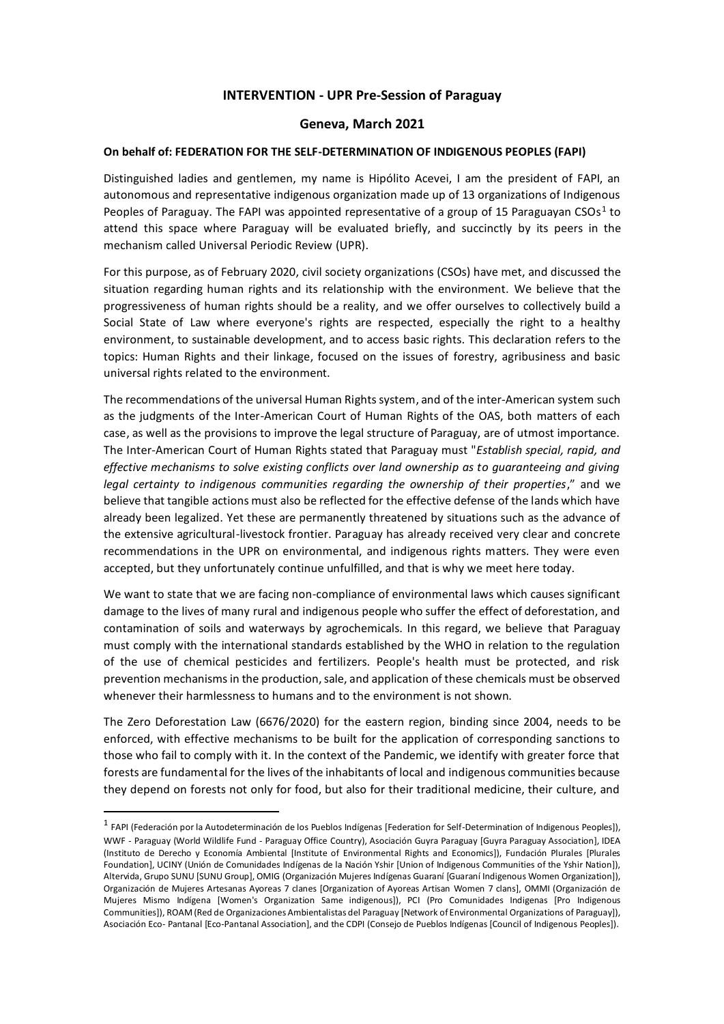## **INTERVENTION - UPR Pre-Session of Paraguay**

## **Geneva, March 2021**

## **On behalf of: FEDERATION FOR THE SELF-DETERMINATION OF INDIGENOUS PEOPLES (FAPI)**

Distinguished ladies and gentlemen, my name is Hipólito Acevei, I am the president of FAPI, an autonomous and representative indigenous organization made up of 13 organizations of Indigenous Peoples of Paraguay. The FAPI was appointed representative of a group of 15 Paraguayan CSOs<sup>1</sup> to attend this space where Paraguay will be evaluated briefly, and succinctly by its peers in the mechanism called Universal Periodic Review (UPR).

For this purpose, as of February 2020, civil society organizations (CSOs) have met, and discussed the situation regarding human rights and its relationship with the environment. We believe that the progressiveness of human rights should be a reality, and we offer ourselves to collectively build a Social State of Law where everyone's rights are respected, especially the right to a healthy environment, to sustainable development, and to access basic rights. This declaration refers to the topics: Human Rights and their linkage, focused on the issues of forestry, agribusiness and basic universal rights related to the environment.

The recommendations of the universal Human Rights system, and of the inter-American system such as the judgments of the Inter-American Court of Human Rights of the OAS, both matters of each case, as well as the provisions to improve the legal structure of Paraguay, are of utmost importance. The Inter-American Court of Human Rights stated that Paraguay must "*Establish special, rapid, and effective mechanisms to solve existing conflicts over land ownership as to guaranteeing and giving legal certainty to indigenous communities regarding the ownership of their properties*," and we believe that tangible actions must also be reflected for the effective defense of the lands which have already been legalized. Yet these are permanently threatened by situations such as the advance of the extensive agricultural-livestock frontier. Paraguay has already received very clear and concrete recommendations in the UPR on environmental, and indigenous rights matters. They were even accepted, but they unfortunately continue unfulfilled, and that is why we meet here today.

We want to state that we are facing non-compliance of environmental laws which causes significant damage to the lives of many rural and indigenous people who suffer the effect of deforestation, and contamination of soils and waterways by agrochemicals. In this regard, we believe that Paraguay must comply with the international standards established by the WHO in relation to the regulation of the use of chemical pesticides and fertilizers. People's health must be protected, and risk prevention mechanisms in the production, sale, and application of these chemicals must be observed whenever their harmlessness to humans and to the environment is not shown.

The Zero Deforestation Law (6676/2020) for the eastern region, binding since 2004, needs to be enforced, with effective mechanisms to be built for the application of corresponding sanctions to those who fail to comply with it. In the context of the Pandemic, we identify with greater force that forests are fundamental for the lives of the inhabitants of local and indigenous communities because they depend on forests not only for food, but also for their traditional medicine, their culture, and

l

<sup>&</sup>lt;sup>1</sup> FAPI (Federación por la Autodeterminación de los Pueblos Indígenas [Federation for Self-Determination of Indigenous Peoples]), WWF - Paraguay (World Wildlife Fund - Paraguay Office Country), Asociación Guyra Paraguay [Guyra Paraguay Association], IDEA (Instituto de Derecho y Economía Ambiental [Institute of Environmental Rights and Economics]), Fundación Plurales [Plurales Foundation], UCINY (Unión de Comunidades Indígenas de la Nación Yshir [Union of Indigenous Communities of the Yshir Nation]), Altervida, Grupo SUNU [SUNU Group], OMIG (Organización Mujeres Indígenas Guaraní [Guaraní Indigenous Women Organization]), Organización de Mujeres Artesanas Ayoreas 7 clanes [Organization of Ayoreas Artisan Women 7 clans], OMMI (Organización de Mujeres Mismo Indígena [Women's Organization Same indigenous]), PCI (Pro Comunidades Indigenas [Pro Indigenous Communities]), ROAM (Red de Organizaciones Ambientalistas del Paraguay [Network of Environmental Organizations of Paraguay]), Asociación Eco- Pantanal [Eco-Pantanal Association], and the CDPI (Consejo de Pueblos Indígenas [Council of Indigenous Peoples]).